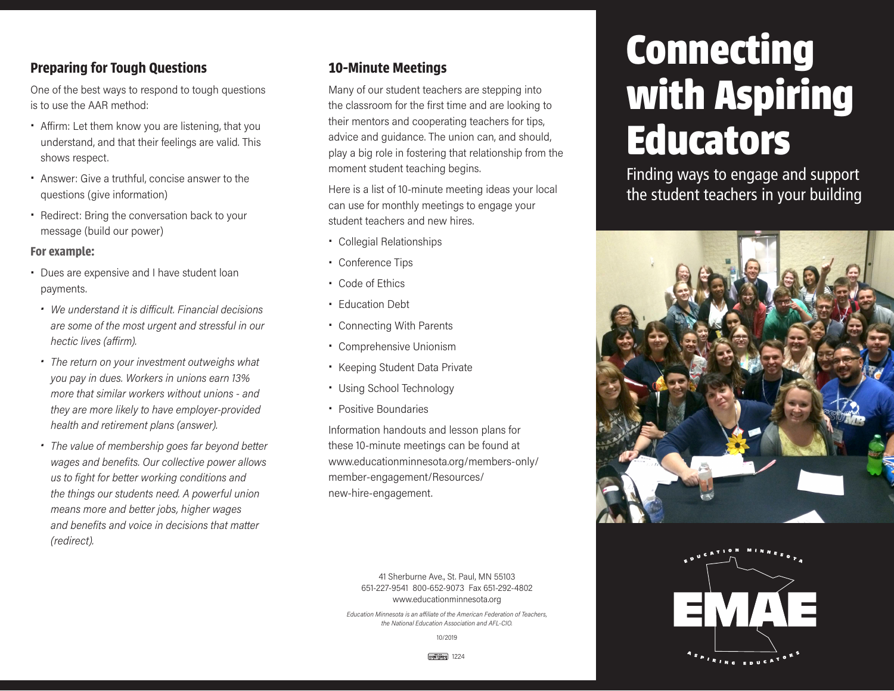## **Preparing for Tough Questions**

One of the best ways to respond to tough questions is to use the AAR method:

- Affirm: Let them know you are listening, that you understand, and that their feelings are valid. This shows respect.
- Answer: Give a truthful, concise answer to the questions (give information)
- Redirect: Bring the conversation back to your message (build our power)

**For example:**

- Dues are expensive and I have student loan payments.
- *• We understand it is difficult. Financial decisions are some of the most urgent and stressful in our hectic lives (affirm).*
- *• The return on your investment outweighs what you pay in dues. Workers in unions earn 13% more that similar workers without unions - and they are more likely to have employer-provided health and retirement plans (answer).*
- *• The value of membership goes far beyond better wages and benefits. Our collective power allows us to fight for better working conditions and the things our students need. A powerful union means more and better jobs, higher wages and benefits and voice in decisions that matter (redirect).*

#### **10-Minute Meetings**

Many of our student teachers are stepping into the classroom for the first time and are looking to their mentors and cooperating teachers for tips, advice and guidance. The union can, and should, play a big role in fostering that relationship from the moment student teaching begins.

Here is a list of 10-minute meeting ideas your local can use for monthly meetings to engage your student teachers and new hires.

- Collegial Relationships
- Conference Tips
- Code of Ethics
- **Education Debt**
- Connecting With Parents
- Comprehensive Unionism
- Keeping Student Data Private
- Using School Technology
- Positive Boundaries

Information handouts and lesson plans for these 10-minute meetings can be found at www.educationminnesota.org/members-only/ member-engagement/Resources/ new-hire-engagement.

> 41 Sherburne Ave., St. Paul, MN 55103 651-227-9541 800-652-9073 Fax 651-292-4802 www.educationminnesota.org

*Education Minnesota is an affiliate of the American Federation of Teachers, the National Education Association and AFL-CIO.*

10/2019

# **Connecting with Aspiring Educators**

Finding ways to engage and support the student teachers in your building





USMITEMPO 1224